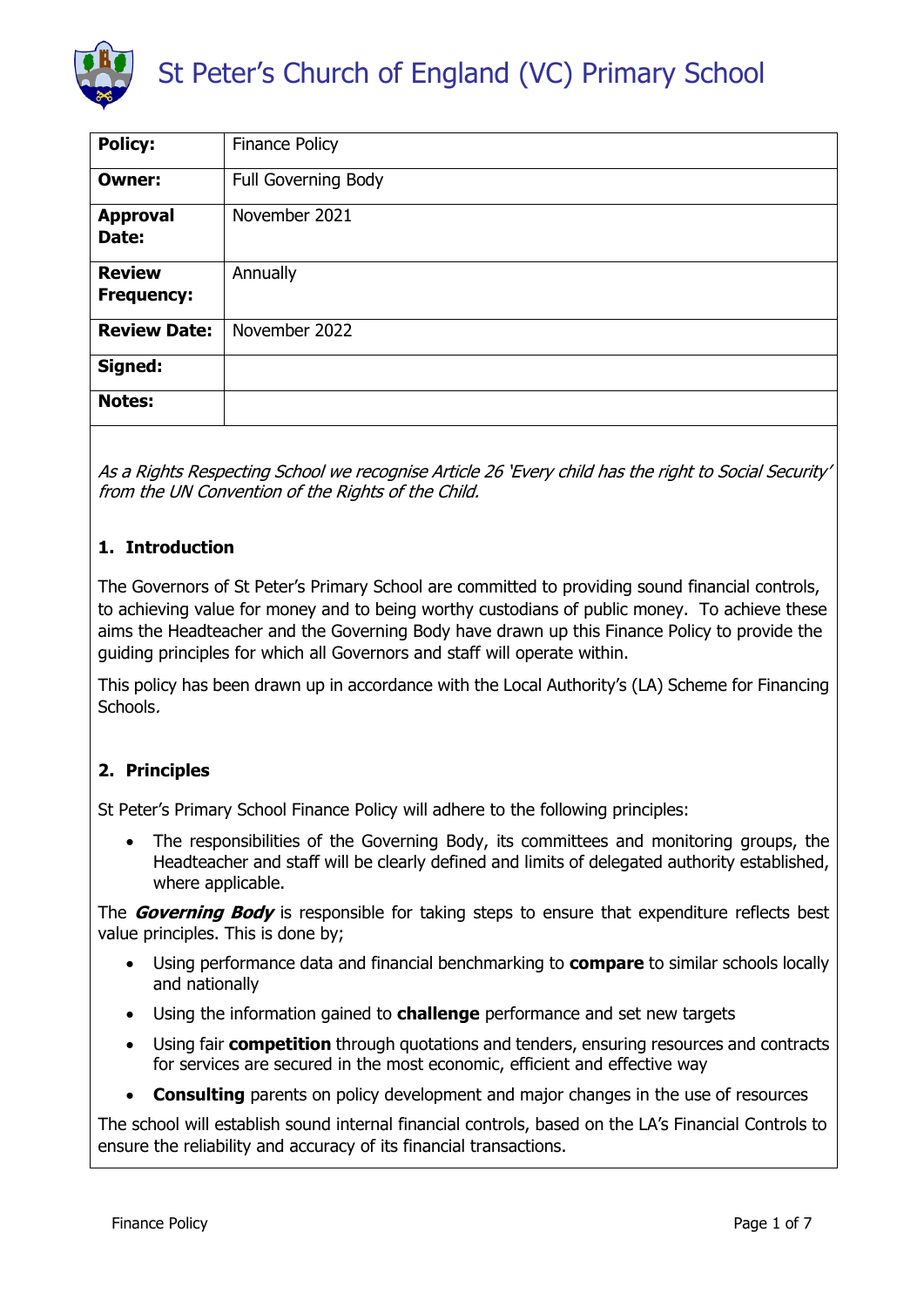

| <b>Policy:</b>                     | <b>Finance Policy</b> |
|------------------------------------|-----------------------|
| <b>Owner:</b>                      | Full Governing Body   |
| <b>Approval</b><br>Date:           | November 2021         |
| <b>Review</b><br><b>Frequency:</b> | Annually              |
| <b>Review Date:</b>                | November 2022         |
| Signed:                            |                       |
| <b>Notes:</b>                      |                       |

As a Rights Respecting School we recognise Article 26 'Every child has the right to Social Security' from the UN Convention of the Rights of the Child.

# **1. Introduction**

The Governors of St Peter's Primary School are committed to providing sound financial controls, to achieving value for money and to being worthy custodians of public money. To achieve these aims the Headteacher and the Governing Body have drawn up this Finance Policy to provide the guiding principles for which all Governors and staff will operate within.

This policy has been drawn up in accordance with the Local Authority's (LA) Scheme for Financing Schools.

# **2. Principles**

St Peter's Primary School Finance Policy will adhere to the following principles:

 The responsibilities of the Governing Body, its committees and monitoring groups, the Headteacher and staff will be clearly defined and limits of delegated authority established, where applicable.

The **Governing Body** is responsible for taking steps to ensure that expenditure reflects best value principles. This is done by;

- Using performance data and financial benchmarking to **compare** to similar schools locally and nationally
- Using the information gained to **challenge** performance and set new targets
- Using fair **competition** through quotations and tenders, ensuring resources and contracts for services are secured in the most economic, efficient and effective way
- **Consulting** parents on policy development and major changes in the use of resources

The school will establish sound internal financial controls, based on the LA's Financial Controls to ensure the reliability and accuracy of its financial transactions.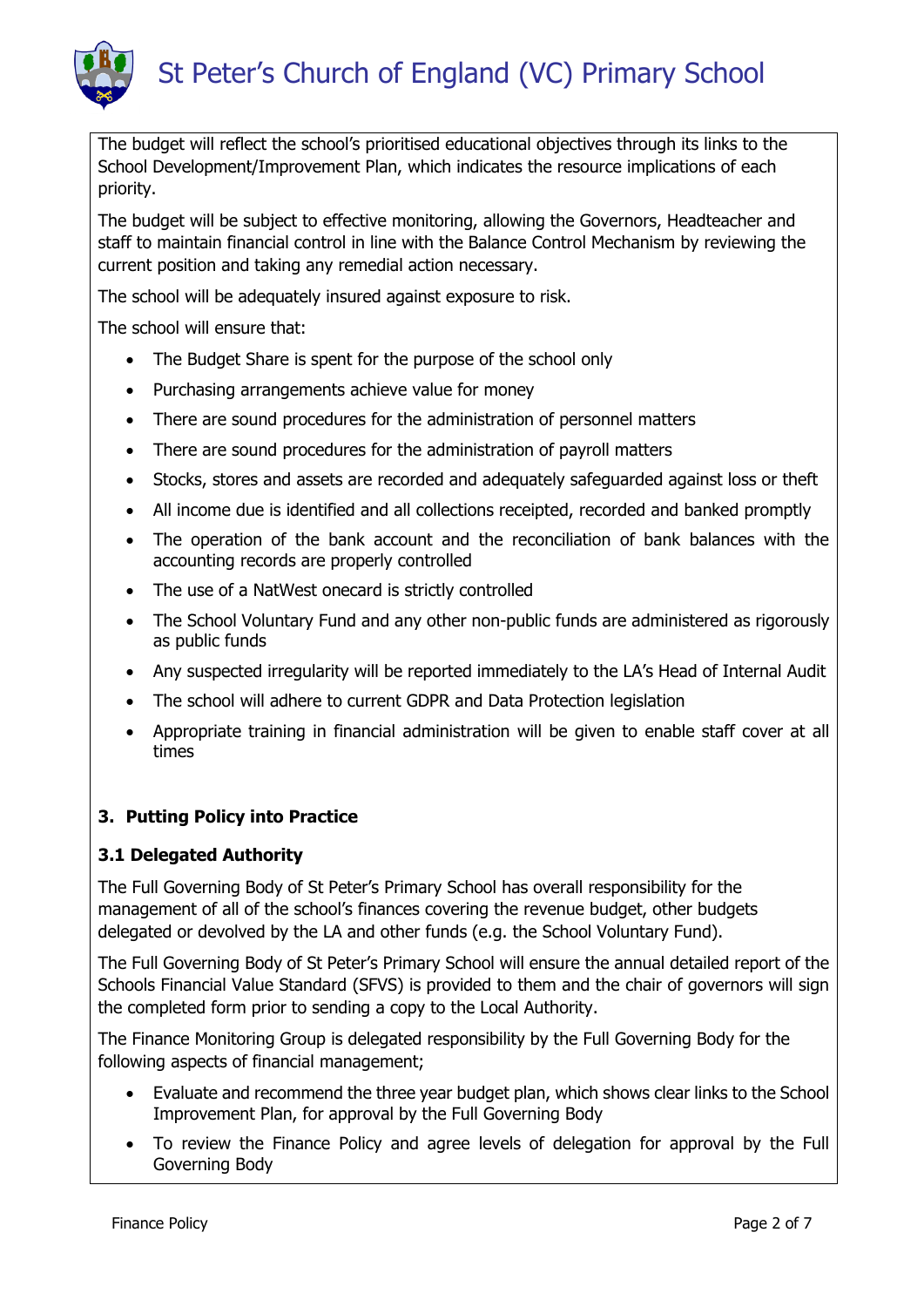

The budget will reflect the school's prioritised educational objectives through its links to the School Development/Improvement Plan, which indicates the resource implications of each priority.

The budget will be subject to effective monitoring, allowing the Governors, Headteacher and staff to maintain financial control in line with the Balance Control Mechanism by reviewing the current position and taking any remedial action necessary.

The school will be adequately insured against exposure to risk.

The school will ensure that:

- The Budget Share is spent for the purpose of the school only
- Purchasing arrangements achieve value for money
- There are sound procedures for the administration of personnel matters
- There are sound procedures for the administration of payroll matters
- Stocks, stores and assets are recorded and adequately safeguarded against loss or theft
- All income due is identified and all collections receipted, recorded and banked promptly
- The operation of the bank account and the reconciliation of bank balances with the accounting records are properly controlled
- The use of a NatWest onecard is strictly controlled
- The School Voluntary Fund and any other non-public funds are administered as rigorously as public funds
- Any suspected irregularity will be reported immediately to the LA's Head of Internal Audit
- The school will adhere to current GDPR and Data Protection legislation
- Appropriate training in financial administration will be given to enable staff cover at all times

#### **3. Putting Policy into Practice**

#### **3.1 Delegated Authority**

The Full Governing Body of St Peter's Primary School has overall responsibility for the management of all of the school's finances covering the revenue budget, other budgets delegated or devolved by the LA and other funds (e.g. the School Voluntary Fund).

The Full Governing Body of St Peter's Primary School will ensure the annual detailed report of the Schools Financial Value Standard (SFVS) is provided to them and the chair of governors will sign the completed form prior to sending a copy to the Local Authority.

The Finance Monitoring Group is delegated responsibility by the Full Governing Body for the following aspects of financial management;

- Evaluate and recommend the three year budget plan, which shows clear links to the School Improvement Plan, for approval by the Full Governing Body
- To review the Finance Policy and agree levels of delegation for approval by the Full Governing Body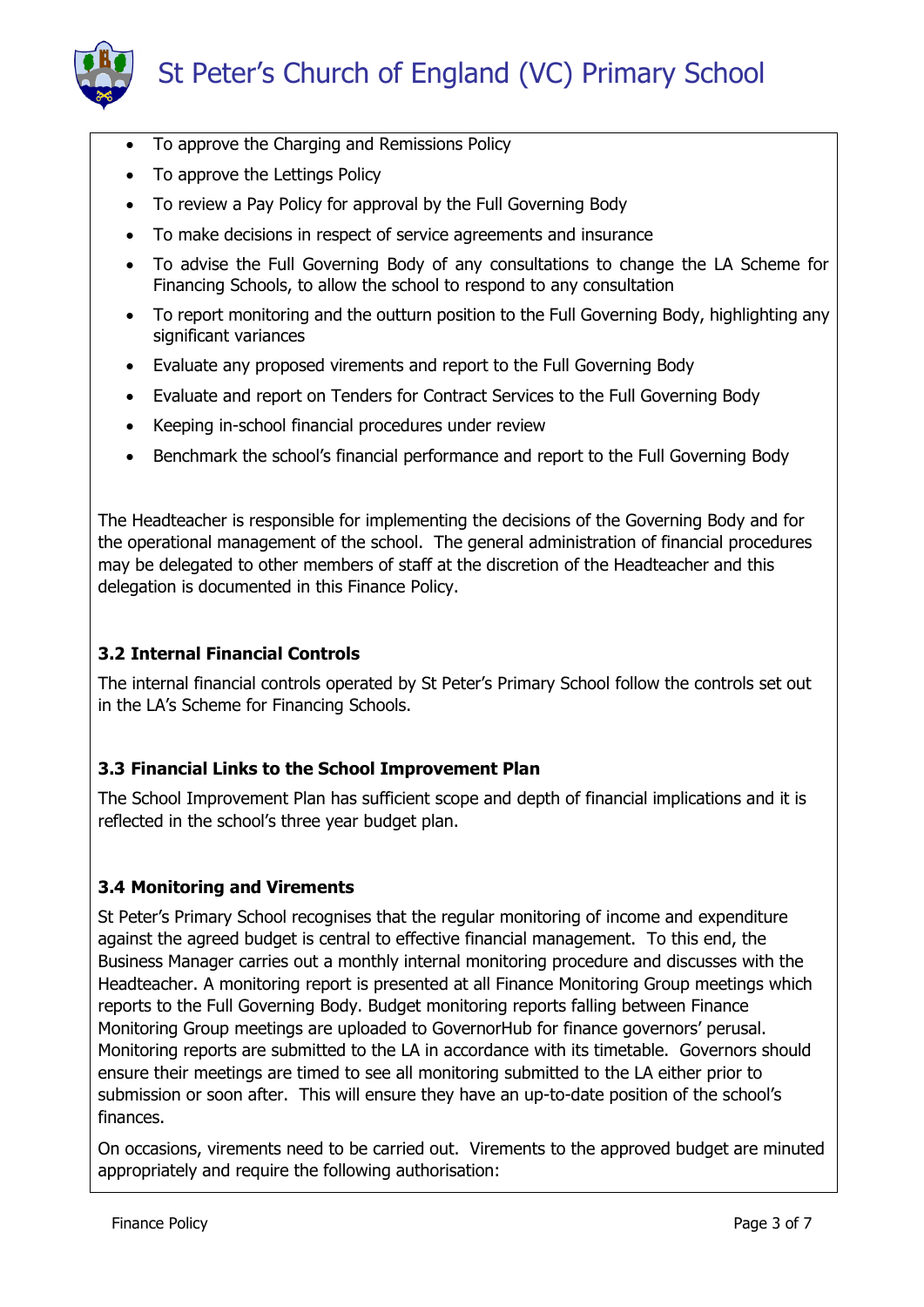

- To approve the Charging and Remissions Policy
- To approve the Lettings Policy
- To review a Pay Policy for approval by the Full Governing Body
- To make decisions in respect of service agreements and insurance
- To advise the Full Governing Body of any consultations to change the LA Scheme for Financing Schools, to allow the school to respond to any consultation
- To report monitoring and the outturn position to the Full Governing Body, highlighting any significant variances
- Evaluate any proposed virements and report to the Full Governing Body
- Evaluate and report on Tenders for Contract Services to the Full Governing Body
- Keeping in-school financial procedures under review
- Benchmark the school's financial performance and report to the Full Governing Body

The Headteacher is responsible for implementing the decisions of the Governing Body and for the operational management of the school. The general administration of financial procedures may be delegated to other members of staff at the discretion of the Headteacher and this delegation is documented in this Finance Policy.

## **3.2 Internal Financial Controls**

The internal financial controls operated by St Peter's Primary School follow the controls set out in the LA's Scheme for Financing Schools.

# **3.3 Financial Links to the School Improvement Plan**

The School Improvement Plan has sufficient scope and depth of financial implications and it is reflected in the school's three year budget plan.

#### **3.4 Monitoring and Virements**

St Peter's Primary School recognises that the regular monitoring of income and expenditure against the agreed budget is central to effective financial management. To this end, the Business Manager carries out a monthly internal monitoring procedure and discusses with the Headteacher. A monitoring report is presented at all Finance Monitoring Group meetings which reports to the Full Governing Body. Budget monitoring reports falling between Finance Monitoring Group meetings are uploaded to GovernorHub for finance governors' perusal. Monitoring reports are submitted to the LA in accordance with its timetable. Governors should ensure their meetings are timed to see all monitoring submitted to the LA either prior to submission or soon after. This will ensure they have an up-to-date position of the school's finances.

On occasions, virements need to be carried out. Virements to the approved budget are minuted appropriately and require the following authorisation: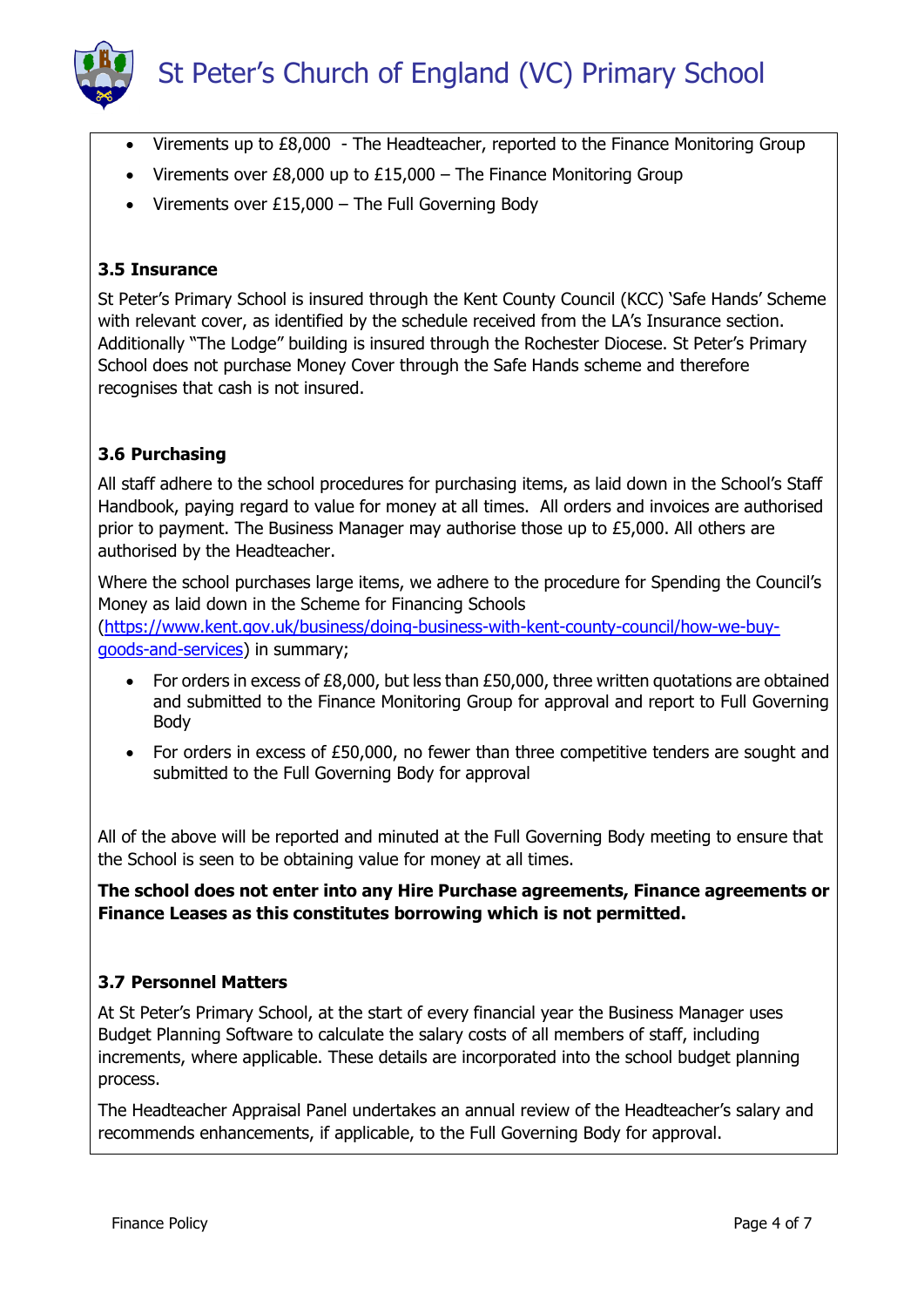# St Peter's Church of England (VC) Primary School

- Virements up to £8,000 The Headteacher, reported to the Finance Monitoring Group
- Virements over  $E8,000$  up to  $E15,000$  The Finance Monitoring Group
- Virements over  $£15,000 -$  The Full Governing Body

#### **3.5 Insurance**

St Peter's Primary School is insured through the Kent County Council (KCC) 'Safe Hands' Scheme with relevant cover, as identified by the schedule received from the LA's Insurance section. Additionally "The Lodge" building is insured through the Rochester Diocese. St Peter's Primary School does not purchase Money Cover through the Safe Hands scheme and therefore recognises that cash is not insured.

# **3.6 Purchasing**

All staff adhere to the school procedures for purchasing items, as laid down in the School's Staff Handbook, paying regard to value for money at all times. All orders and invoices are authorised prior to payment. The Business Manager may authorise those up to £5,000. All others are authorised by the Headteacher.

Where the school purchases large items, we adhere to the procedure for Spending the Council's Money as laid down in the Scheme for Financing Schools [\(https://www.kent.gov.uk/business/doing-business-with-kent-county-council/how-we-buy](https://www.kent.gov.uk/business/doing-business-with-kent-county-council/how-we-buy-goods-and-services)[goods-and-services\)](https://www.kent.gov.uk/business/doing-business-with-kent-county-council/how-we-buy-goods-and-services) in summary;

- For orders in excess of £8,000, but less than £50,000, three written quotations are obtained and submitted to the Finance Monitoring Group for approval and report to Full Governing Body
- For orders in excess of £50,000, no fewer than three competitive tenders are sought and submitted to the Full Governing Body for approval

All of the above will be reported and minuted at the Full Governing Body meeting to ensure that the School is seen to be obtaining value for money at all times.

**The school does not enter into any Hire Purchase agreements, Finance agreements or Finance Leases as this constitutes borrowing which is not permitted.**

#### **3.7 Personnel Matters**

At St Peter's Primary School, at the start of every financial year the Business Manager uses Budget Planning Software to calculate the salary costs of all members of staff, including increments, where applicable. These details are incorporated into the school budget planning process.

The Headteacher Appraisal Panel undertakes an annual review of the Headteacher's salary and recommends enhancements, if applicable, to the Full Governing Body for approval.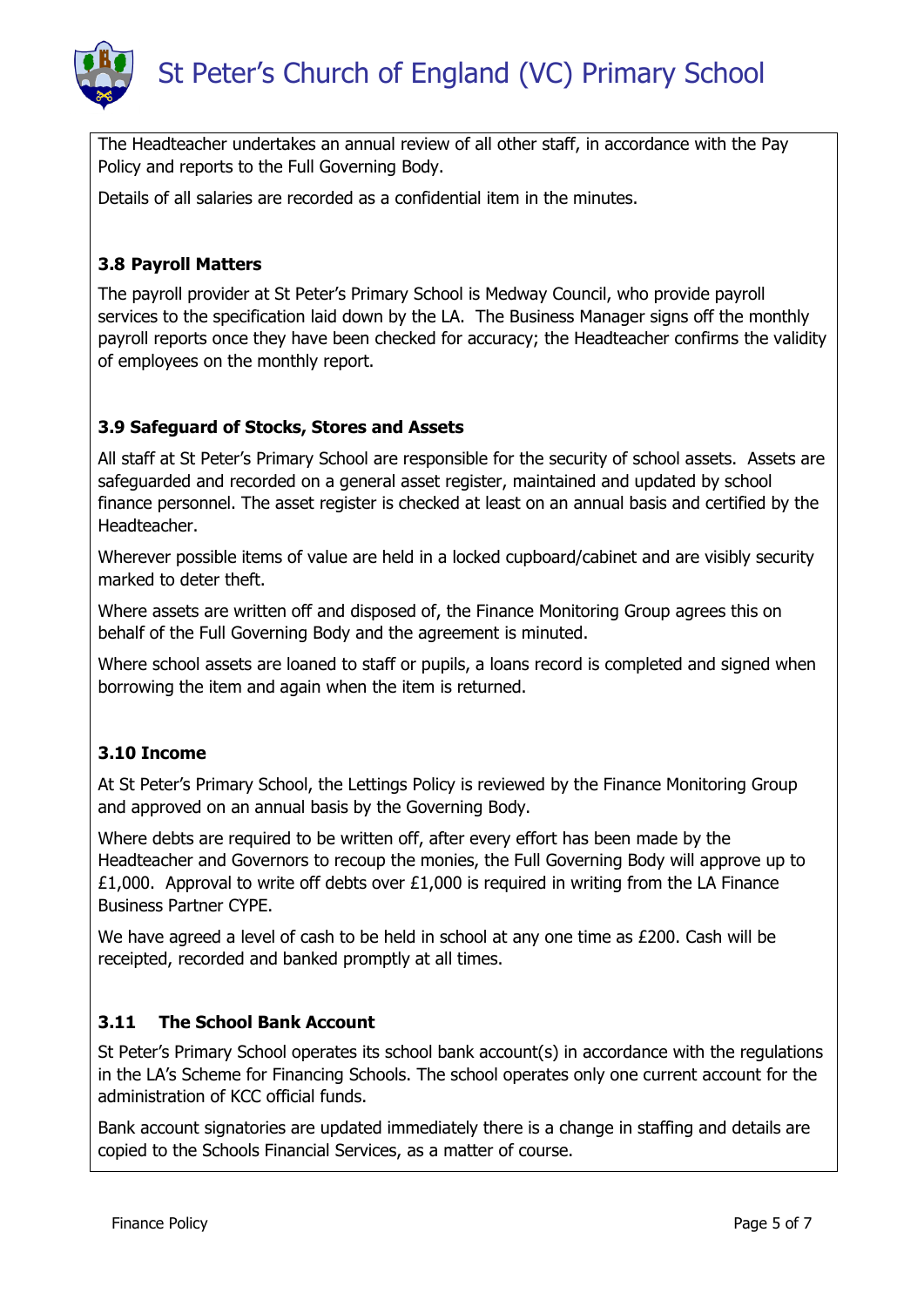

The Headteacher undertakes an annual review of all other staff, in accordance with the Pay Policy and reports to the Full Governing Body.

Details of all salaries are recorded as a confidential item in the minutes.

#### **3.8 Payroll Matters**

The payroll provider at St Peter's Primary School is Medway Council, who provide payroll services to the specification laid down by the LA. The Business Manager signs off the monthly payroll reports once they have been checked for accuracy; the Headteacher confirms the validity of employees on the monthly report.

#### **3.9 Safeguard of Stocks, Stores and Assets**

All staff at St Peter's Primary School are responsible for the security of school assets. Assets are safeguarded and recorded on a general asset register, maintained and updated by school finance personnel. The asset register is checked at least on an annual basis and certified by the Headteacher.

Wherever possible items of value are held in a locked cupboard/cabinet and are visibly security marked to deter theft.

Where assets are written off and disposed of, the Finance Monitoring Group agrees this on behalf of the Full Governing Body and the agreement is minuted.

Where school assets are loaned to staff or pupils, a loans record is completed and signed when borrowing the item and again when the item is returned.

#### **3.10 Income**

At St Peter's Primary School, the Lettings Policy is reviewed by the Finance Monitoring Group and approved on an annual basis by the Governing Body.

Where debts are required to be written off, after every effort has been made by the Headteacher and Governors to recoup the monies, the Full Governing Body will approve up to £1,000. Approval to write off debts over £1,000 is required in writing from the LA Finance Business Partner CYPE.

We have agreed a level of cash to be held in school at any one time as £200. Cash will be receipted, recorded and banked promptly at all times.

#### **3.11 The School Bank Account**

St Peter's Primary School operates its school bank account(s) in accordance with the regulations in the LA's Scheme for Financing Schools. The school operates only one current account for the administration of KCC official funds.

Bank account signatories are updated immediately there is a change in staffing and details are copied to the Schools Financial Services, as a matter of course.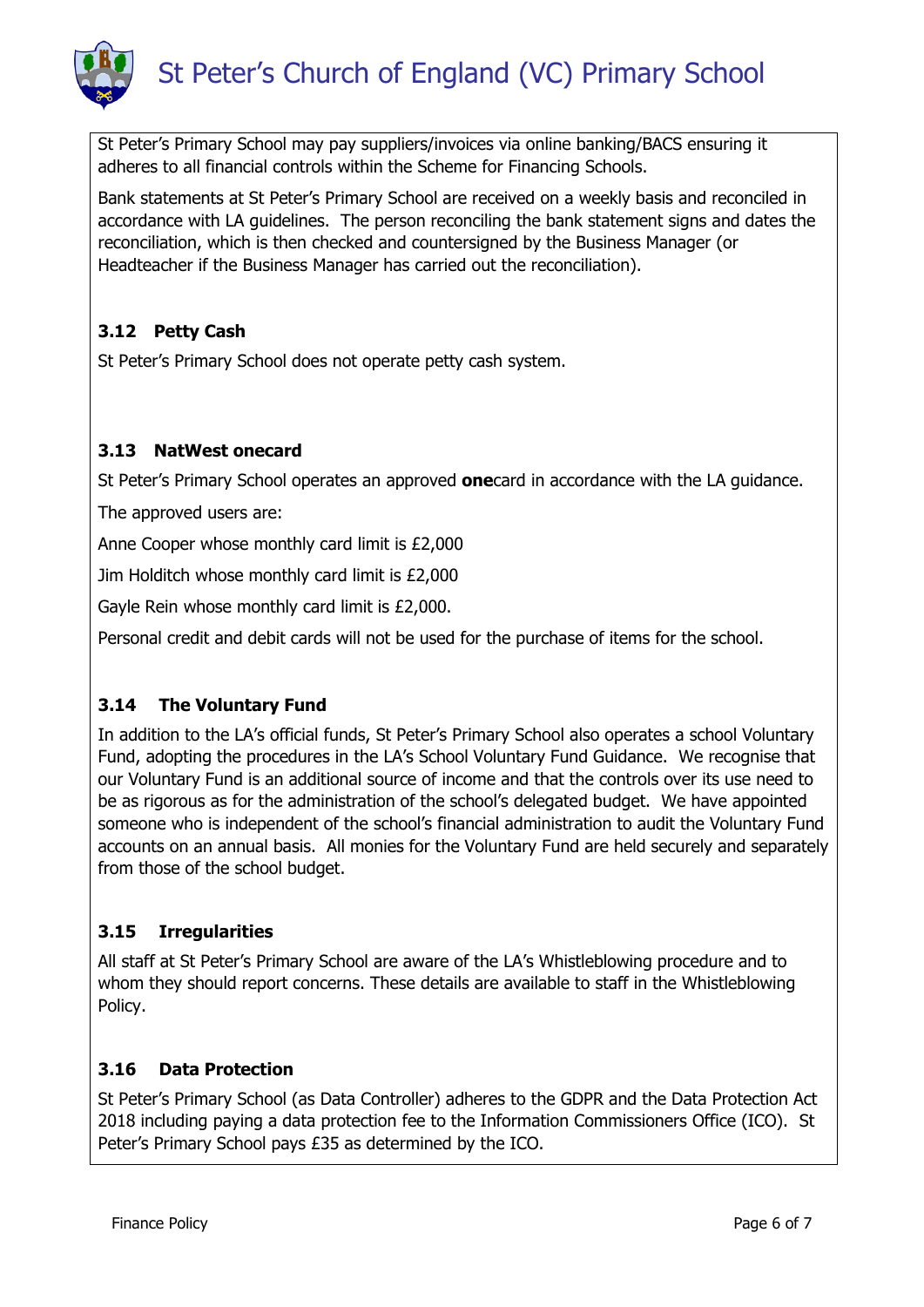

St Peter's Primary School may pay suppliers/invoices via online banking/BACS ensuring it adheres to all financial controls within the Scheme for Financing Schools.

Bank statements at St Peter's Primary School are received on a weekly basis and reconciled in accordance with LA guidelines. The person reconciling the bank statement signs and dates the reconciliation, which is then checked and countersigned by the Business Manager (or Headteacher if the Business Manager has carried out the reconciliation).

## **3.12 Petty Cash**

St Peter's Primary School does not operate petty cash system.

# **3.13 NatWest onecard**

St Peter's Primary School operates an approved **one**card in accordance with the LA guidance.

The approved users are:

Anne Cooper whose monthly card limit is £2,000

Jim Holditch whose monthly card limit is £2,000

Gayle Rein whose monthly card limit is £2,000.

Personal credit and debit cards will not be used for the purchase of items for the school.

#### **3.14 The Voluntary Fund**

In addition to the LA's official funds, St Peter's Primary School also operates a school Voluntary Fund, adopting the procedures in the LA's School Voluntary Fund Guidance. We recognise that our Voluntary Fund is an additional source of income and that the controls over its use need to be as rigorous as for the administration of the school's delegated budget. We have appointed someone who is independent of the school's financial administration to audit the Voluntary Fund accounts on an annual basis. All monies for the Voluntary Fund are held securely and separately from those of the school budget.

#### **3.15 Irregularities**

All staff at St Peter's Primary School are aware of the LA's Whistleblowing procedure and to whom they should report concerns. These details are available to staff in the Whistleblowing Policy.

#### **3.16 Data Protection**

St Peter's Primary School (as Data Controller) adheres to the GDPR and the Data Protection Act 2018 including paying a data protection fee to the Information Commissioners Office (ICO). St Peter's Primary School pays £35 as determined by the ICO.